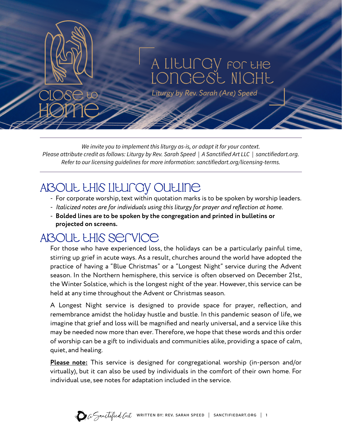

*Liturgy by Rev. Sarah (Are) Speed*

*We invite you to implement this liturgy as-is, or adapt it for your context. Please attribute credit as follows: Liturgy by Rev. Sarah Speed | A Sanctified Art LLC | sanctifiedart.org. Refer to our licensing guidelines for more information: sanctifiedart.org/licensing-terms.*

# ABOUL LHIS LILUNGY OULLINE

- For corporate worship, text within quotation marks is to be spoken by worship leaders.
- *Italicized notes are for individuals using this liturgy for prayer and reflection at home.*
- **Bolded lines are to be spoken by the congregation and printed in bulletins or projected on screens.**

# ABOUL LHIS SENICE

For those who have experienced loss, the holidays can be a particularly painful time, stirring up grief in acute ways. As a result, churches around the world have adopted the practice of having a "Blue Christmas" or a "Longest Night" service during the Advent season. In the Northern hemisphere, this service is often observed on December 21st, the Winter Solstice, which is the longest night of the year. However, this service can be held at any time throughout the Advent or Christmas season.

A Longest Night service is designed to provide space for prayer, reflection, and remembrance amidst the holiday hustle and bustle. In this pandemic season of life, we imagine that grief and loss will be magnified and nearly universal, and a service like this may be needed now more than ever. Therefore, we hope that these words and this order of worship can be a gift to individuals and communities alike, providing a space of calm, quiet, and healing.

**Please note:** This service is designed for congregational worship (in-person and/or virtually), but it can also be used by individuals in the comfort of their own home. For individual use, see notes for adaptation included in the service.

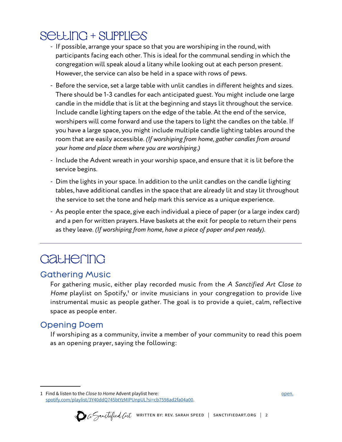# SELLING + SUPPLIES

- If possible, arrange your space so that you are worshiping in the round, with participants facing each other. This is ideal for the communal sending in which the congregation will speak aloud a litany while looking out at each person present. However, the service can also be held in a space with rows of pews.
- Before the service, set a large table with unlit candles in different heights and sizes. There should be 1-3 candles for each anticipated guest. You might include one large candle in the middle that is lit at the beginning and stays lit throughout the service. Include candle lighting tapers on the edge of the table. At the end of the service, worshipers will come forward and use the tapers to light the candles on the table. If you have a large space, you might include multiple candle lighting tables around the room that are easily accessible. *(If worshiping from home, gather candles from around your home and place them where you are worshiping.)*
- Include the Advent wreath in your worship space, and ensure that it is lit before the service begins.
- Dim the lights in your space. In addition to the unlit candles on the candle lighting tables, have additional candles in the space that are already lit and stay lit throughout the service to set the tone and help mark this service as a unique experience.
- As people enter the space, give each individual a piece of paper (or a large index card) and a pen for written prayers. Have baskets at the exit for people to return their pens as they leave. *(If worshiping from home, have a piece of paper and pen ready).*

# **GatHering**

### Gathering Music

For gathering music, either play recorded music from the *A Sanctified Art Close to Home* playlist on Spotify,<sup>1</sup> or invite musicians in your congregation to provide live instrumental music as people gather. The goal is to provide a quiet, calm, reflective space as people enter.

# Opening Poem

If worshiping as a community, invite a member of your community to read this poem as an opening prayer, saying the following:

<sup>1</sup> Find & listen to the *Close to Home* Advent playlist here: [open.](https://open.spotify.com/playlist/3Y40ddQ745btYzMIPUnpUL?si=cb7598ad2fa04a00&nd=1) [spotify.com/playlist/3Y40ddQ745btYzMIPUnpUL?si=cb7598ad2fa04a00](https://open.spotify.com/playlist/3Y40ddQ745btYzMIPUnpUL?si=cb7598ad2fa04a00&nd=1).



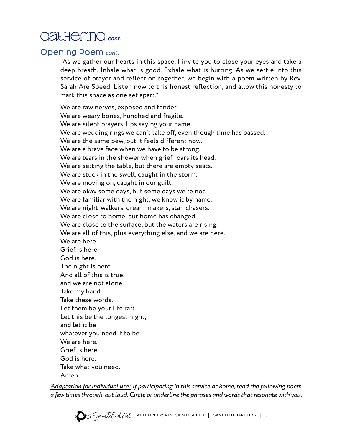# GatHerinG cont.

### Opening Poem *cont.*

"As we gather our hearts in this space, I invite you to close your eyes and take a deep breath. Inhale what is good. Exhale what is hurting. As we settle into this service of prayer and reflection together, we begin with a poem written by Rev. Sarah Are Speed. Listen now to this honest reflection, and allow this honesty to mark this space as one set apart."

We are raw nerves, exposed and tender. We are weary bones, hunched and fragile. We are silent prayers, lips saying your name. We are wedding rings we can't take off, even though time has passed. We are the same pew, but it feels different now. We are a brave face when we have to be strong. We are tears in the shower when grief roars its head. We are setting the table, but there are empty seats. We are stuck in the swell, caught in the storm. We are moving on, caught in our guilt. We are okay some days, but some days we're not. We are familiar with the night, we know it by name. We are night-walkers, dream-makers, star-chasers. We are close to home, but home has changed. We are close to the surface, but the waters are rising. We are all of this, plus everything else, and we are here. We are here. Grief is here. God is here. The night is here. And all of this is true, and we are not alone. Take my hand. Take these words. Let them be your life raft. Let this be the longest night, and let it be whatever you need it to be. We are here. Grief is here. God is here. Take what you need.

Amen.

*Adaptation for individual use: If participating in this service at home, read the following poem a few times through, out loud. Circle or underline the phrases and words that resonate with you.* 

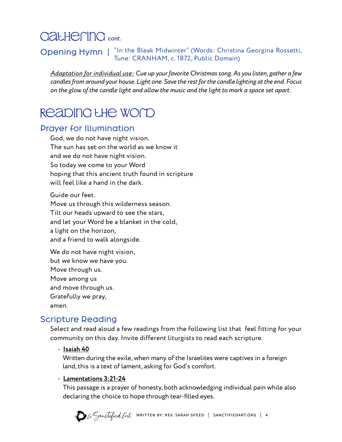# GatherinG *cont.*

### Opening Hymn | "In the Bleak Midwinter" (Words: Christina Georgina Rossetti, Tune: CRANHAM, c. 1872, Public Domain)

*Adaptation for individual use: Cue up your favorite Christmas song. As you listen, gather a few candles from around your house. Light one. Save the rest for the candle lighting at the end. Focus on the glow of the candle light and allow the music and the light to mark a space set apart.* 

# ReadinG the Word

### Prayer for Illumination

God, we do not have night vision. The sun has set on the world as we know it and we do not have night vision. So today we come to your Word hoping that this ancient truth found in scripture will feel like a hand in the dark.

Guide our feet. Move us through this wilderness season. Tilt our heads upward to see the stars, and let your Word be a blanket in the cold, a light on the horizon, and a friend to walk alongside.

We do not have night vision, but we know we have you. Move through us. Move among us and move through us. Gratefully we pray, amen.

## Scripture Reading

Select and read aloud a few readings from the following list that feel fitting for your community on this day. Invite different liturgists to read each scripture.

#### - **Isaiah 40**

Written during the exile, when many of the Israelites were captives in a foreign land, this is a text of lament, asking for God's comfort.

#### - **Lamentations 3:21-24**

This passage is a prayer of honesty, both acknowledging individual pain while also declaring the choice to hope through tear-filled eyes.

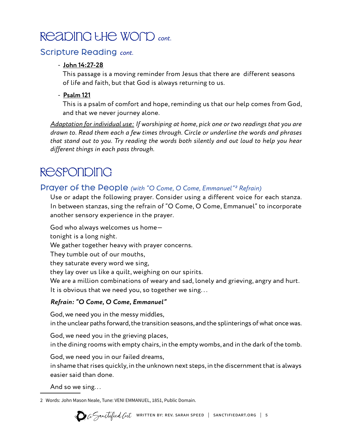# ReadinG the Word *cont.*

### Scripture Reading *cont.*

#### - **John 14:27-28**

This passage is a moving reminder from Jesus that there are different seasons of life and faith, but that God is always returning to us.

#### - **Psalm 121**

This is a psalm of comfort and hope, reminding us that our help comes from God, and that we never journey alone.

*Adaptation for individual use: If worshiping at home, pick one or two readings that you are drawn to. Read them each a few times through. Circle or underline the words and phrases that stand out to you. Try reading the words both silently and out loud to help you hear different things in each pass through.* 

# **RESPONDING**

### Prayer of the People *(with "O Come, O Come, Emmanuel"² Refrain)*

Use or adapt the following prayer. Consider using a different voice for each stanza. In between stanzas, sing the refrain of "O Come, O Come, Emmanuel" to incorporate another sensory experience in the prayer.

God who always welcomes us home tonight is a long night. We gather together heavy with prayer concerns. They tumble out of our mouths, they saturate every word we sing, they lay over us like a quilt, weighing on our spirits. We are a million combinations of weary and sad, lonely and grieving, angry and hurt. It is obvious that we need you, so together we sing...

#### *Refrain: "O Come, O Come, Emmanuel"*

God, we need you in the messy middles, in the unclear paths forward, the transition seasons, and the splinterings of what once was.

God, we need you in the grieving places, in the dining rooms with empty chairs, in the empty wombs, and in the dark of the tomb.

God, we need you in our failed dreams,

in shame that rises quickly, in the unknown next steps, in the discernment that is always easier said than done.

And so we sing. . .

2 Words: John Mason Neale, Tune: VENI EMMANUEL, 1851, Public Domain.

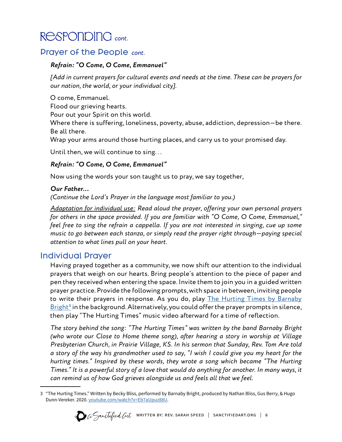# RespondinG *cont.*

### Prayer of the People *cont.*

#### *Refrain: "O Come, O Come, Emmanuel"*

*[Add in current prayers for cultural events and needs at the time. These can be prayers for our nation, the world, or your individual city].*

O come, Emmanuel.

Flood our grieving hearts.

Pour out your Spirit on this world.

Where there is suffering, loneliness, poverty, abuse, addiction, depression—be there. Be all there.

Wrap your arms around those hurting places, and carry us to your promised day.

Until then, we will continue to sing...

#### *Refrain: "O Come, O Come, Emmanuel"*

Now using the words your son taught us to pray, we say together,

#### *Our Father…*

*(Continue the Lord's Prayer in the language most familiar to you.)*

*Adaptation for individual use: Read aloud the prayer, offering your own personal prayers for others in the space provided. If you are familiar with "O Come, O Come, Emmanuel," feel free to sing the refrain a cappella. If you are not interested in singing, cue up some music to go between each stanza, or simply read the prayer right through—paying special attention to what lines pull on your heart.* 

## Individual Prayer

Having prayed together as a community, we now shift our attention to the individual prayers that weigh on our hearts. Bring people's attention to the piece of paper and pen they received when entering the space. Invite them to join you in a guided written prayer practice. Provide the following prompts, with space in between, inviting people to write their prayers in response. As you do, play [The Hurting Times by Barnaby](https://www.youtube.com/watch?v=Eb7aUpuz88U) Bright<sup>3</sup> in the background. Alternatively, you could offer the prayer prompts in silence, then play "The Hurting Times" music video afterward for a time of reflection.

*The story behind the song: "The Hurting Times" was written by the band Barnaby Bright (who wrote our Close to Home theme song), after hearing a story in worship at Village Presbyterian Church, in Prairie Village, KS. In his sermon that Sunday, Rev. Tom Are told a story of the way his grandmother used to say, "I wish I could give you my heart for the hurting times." Inspired by these words, they wrote a song which became "The Hurting Times." It is a powerful story of a love that would do anything for another. In many ways, it can remind us of how God grieves alongside us and feels all that we feel.* 

<sup>3 &</sup>quot;The Hurting Times." Written by Becky Bliss, performed by Barnaby Bright, produced by Nathan Bliss, Gus Berry, & Hugo Dunn-Vereker. 2020. [youtube.com/watch?v=Eb7aUpuz88U](https://www.youtube.com/watch?v=Eb7aUpuz88U).

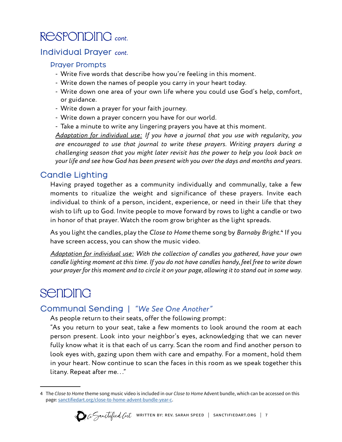# RespondinG *cont.*

### Individual Prayer *cont.*

#### Prayer Prompts

- Write five words that describe how you're feeling in this moment.
- Write down the names of people you carry in your heart today.
- Write down one area of your own life where you could use God's help, comfort, or guidance.
- Write down a prayer for your faith journey.
- Write down a prayer concern you have for our world.
- Take a minute to write any lingering prayers you have at this moment.

*Adaptation for individual use: If you have a journal that you use with regularity, you are encouraged to use that journal to write these prayers. Writing prayers during a challenging season that you might later revisit has the power to help you look back on your life and see how God has been present with you over the days and months and years.*

### Candle Lighting

Having prayed together as a community individually and communally, take a few moments to ritualize the weight and significance of these prayers. Invite each individual to think of a person, incident, experience, or need in their life that they wish to lift up to God. Invite people to move forward by rows to light a candle or two in honor of that prayer. Watch the room grow brighter as the light spreads.

As you light the candles, play the *Close to Home* theme song by *Barnaby Bright*.⁴ If you have screen access, you can show the music video.

*Adaptation for individual use: With the collection of candles you gathered, have your own candle lighting moment at this time. If you do not have candles handy, feel free to write down your prayer for this moment and to circle it on your page, allowing it to stand out in some way.* 

# **Senbing**

### Communal Sending | *"We See One Another"*

As people return to their seats, offer the following prompt:

"As you return to your seat, take a few moments to look around the room at each person present. Look into your neighbor's eyes, acknowledging that we can never fully know what it is that each of us carry. Scan the room and find another person to look eyes with, gazing upon them with care and empathy. For a moment, hold them in your heart. Now continue to scan the faces in this room as we speak together this litany. Repeat after me. . ."

<sup>4</sup> The *Close to Home* theme song music video is included in our *Close to Home* Advent bundle, which can be accessed on this page: [sanctifiedart.org/close-to-home-advent-bundle-year-c](https://sanctifiedart.org/close-to-home-advent-bundle-year-c).

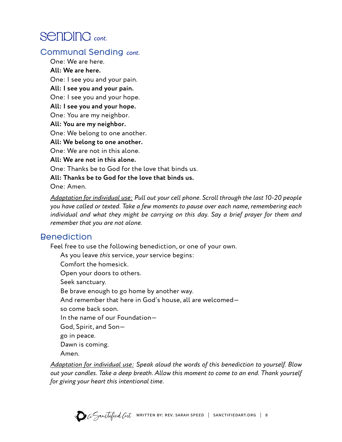# Senping cont.

### Communal Sending *cont.*

One: We are here. **All: We are here.**  One: I see you and your pain. **All: I see you and your pain.**  One: I see you and your hope. **All: I see you and your hope.**  One: You are my neighbor. **All: You are my neighbor.**  One: We belong to one another. **All: We belong to one another.**  One: We are not in this alone. **All: We are not in this alone.**  One: Thanks be to God for the love that binds us.

**All: Thanks be to God for the love that binds us.**

One: Amen.

*Adaptation for individual use: Pull out your cell phone. Scroll through the last 10-20 people you have called or texted. Take a few moments to pause over each name, remembering each individual and what they might be carrying on this day. Say a brief prayer for them and remember that you are not alone.* 

### Benediction

Feel free to use the following benediction, or one of your own.

As you leave *this* service, *your* service begins: Comfort the homesick. Open your doors to others. Seek sanctuary. Be brave enough to go home by another way. And remember that here in God's house, all are welcomed so come back soon. In the name of our Foundation— God, Spirit, and Son go in peace. Dawn is coming. Amen.

*Adaptation for individual use: Speak aloud the words of this benediction to yourself. Blow out your candles. Take a deep breath. Allow this moment to come to an end. Thank yourself for giving your heart this intentional time.*

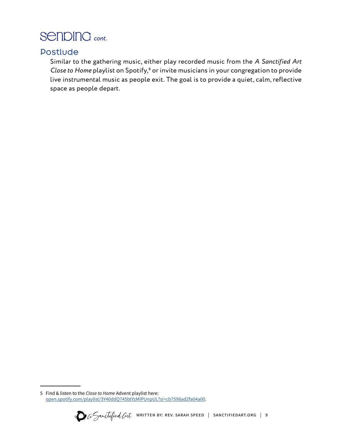# SendinG cont.

### Postlude

Similar to the gathering music, either play recorded music from the *A Sanctified Art Close to Home* playlist on Spotify,<sup>5</sup> or invite musicians in your congregation to provide live instrumental music as people exit. The goal is to provide a quiet, calm, reflective space as people depart.

<sup>5</sup> Find & listen to the *Close to Home* Advent playlist here: [open.spotify.com/playlist/3Y40ddQ745btYzMIPUnpUL?si=cb7598ad2fa04a00.](https://open.spotify.com/playlist/3Y40ddQ745btYzMIPUnpUL?si=cb7598ad2fa04a00&nd=1)